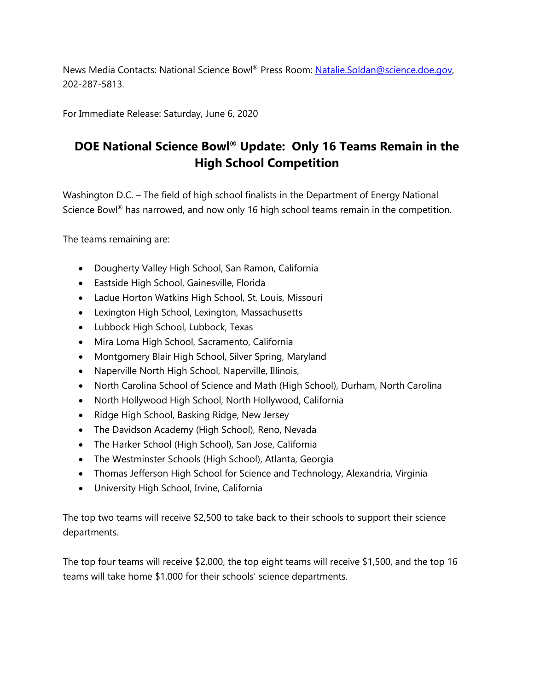News Media Contacts: National Science Bowl® Press Room: Natalie.Soldan@science.doe.gov, 202-287-5813.

For Immediate Release: Saturday, June 6, 2020

## **DOE National Science Bowl® Update: Only 16 Teams Remain in the High School Competition**

Washington D.C. – The field of high school finalists in the Department of Energy National Science Bowl<sup>®</sup> has narrowed, and now only 16 high school teams remain in the competition.

The teams remaining are:

- Dougherty Valley High School, San Ramon, California
- Eastside High School, Gainesville, Florida
- Ladue Horton Watkins High School, St. Louis, Missouri
- Lexington High School, Lexington, Massachusetts
- Lubbock High School, Lubbock, Texas
- Mira Loma High School, Sacramento, California
- Montgomery Blair High School, Silver Spring, Maryland
- Naperville North High School, Naperville, Illinois,
- North Carolina School of Science and Math (High School), Durham, North Carolina
- North Hollywood High School, North Hollywood, California
- Ridge High School, Basking Ridge, New Jersey
- The Davidson Academy (High School), Reno, Nevada
- The Harker School (High School), San Jose, California
- The Westminster Schools (High School), Atlanta, Georgia
- Thomas Jefferson High School for Science and Technology, Alexandria, Virginia
- University High School, Irvine, California

The top two teams will receive \$2,500 to take back to their schools to support their science departments.

The top four teams will receive \$2,000, the top eight teams will receive \$1,500, and the top 16 teams will take home \$1,000 for their schools' science departments.